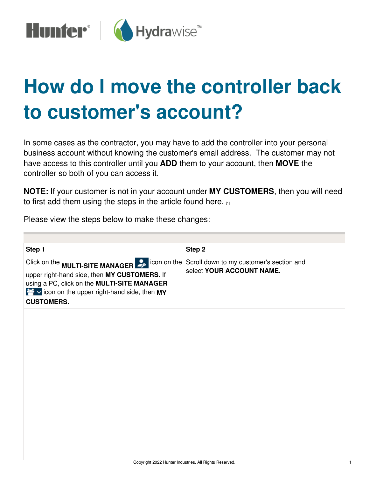

## **How do I move the controller back to customer's account?**

In some cases as the contractor, you may have to add the controller into your personal business account without knowing the customer's email address. The customer may not have access to this controller until you **ADD** them to your account, then **MOVE** the controller so both of you can access it.

**NOTE:** If your customer is not in your account under **MY CUSTOMERS**, then you will need to first add them using the steps in the [article](https://support.hydrawise.com/hc/en-us/articles/206114458-Contractor-Adding-a-Customer-) found here. [1]

Please view the steps below to make these changes:

| Step 1                                                                                                                                                                                                                                                                                                                  | Step 2                    |
|-------------------------------------------------------------------------------------------------------------------------------------------------------------------------------------------------------------------------------------------------------------------------------------------------------------------------|---------------------------|
| Click on the <b>MULTI-SITE MANAGER</b> $\mathcal{L}$ icon on the Scroll down to my customer's section and<br>upper right-hand side, then MY CUSTOMERS. If<br>using a PC, click on the MULTI-SITE MANAGER<br>$\blacktriangleright$ $\blacktriangleright$ icon on the upper right-hand side, then MY<br><b>CUSTOMERS.</b> | select YOUR ACCOUNT NAME. |
|                                                                                                                                                                                                                                                                                                                         |                           |
|                                                                                                                                                                                                                                                                                                                         |                           |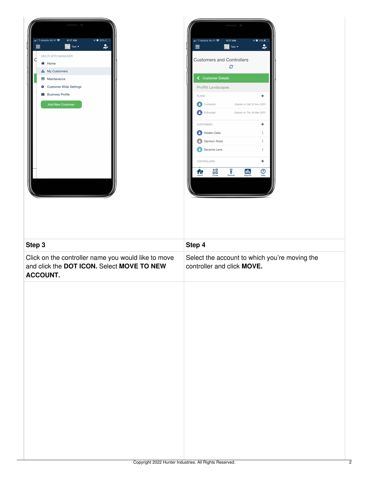

| ••Ill T-Mobile Wi-Fi ' - T            | 6:17 AM<br>Test $\blacktriangleright$ | <b>V</b> 21%<br>يو         |
|---------------------------------------|---------------------------------------|----------------------------|
| <b>Customers and Controllers</b><br>c |                                       |                            |
| ← Customer Details                    |                                       |                            |
| <b>Proffitt Landscapes</b>            |                                       |                            |
| <b>PLANS</b>                          |                                       | ٠                          |
| Contractor                            | Expires on Sat 25 Nov 2023            |                            |
| <b>A</b> Enthusiast                   |                                       | Expires on Thu 24 Mar 2022 |
| <b>CUSTOMERS</b>                      |                                       | ٠                          |
| <b>A</b> Hidden Oaks                  |                                       | t                          |
| Garrison Road                         |                                       | t                          |
| A<br>Savanna Lane                     |                                       | i                          |
| CONTROLLERS                           |                                       | ÷                          |
| ⋄□<br>86<br>Zones<br>Home             | ĥ<br>Remote<br>Reports                | 7<br>Help                  |
|                                       |                                       |                            |

| Step 3                                                                                                               | Step 4                                                                      |
|----------------------------------------------------------------------------------------------------------------------|-----------------------------------------------------------------------------|
| Click on the controller name you would like to move<br>and click the DOT ICON. Select MOVE TO NEW<br><b>ACCOUNT.</b> | Select the account to which you're moving the<br>controller and click MOVE. |
|                                                                                                                      |                                                                             |
|                                                                                                                      |                                                                             |
|                                                                                                                      |                                                                             |
|                                                                                                                      |                                                                             |
|                                                                                                                      |                                                                             |
|                                                                                                                      |                                                                             |
|                                                                                                                      |                                                                             |
|                                                                                                                      |                                                                             |
|                                                                                                                      |                                                                             |
|                                                                                                                      |                                                                             |
|                                                                                                                      |                                                                             |